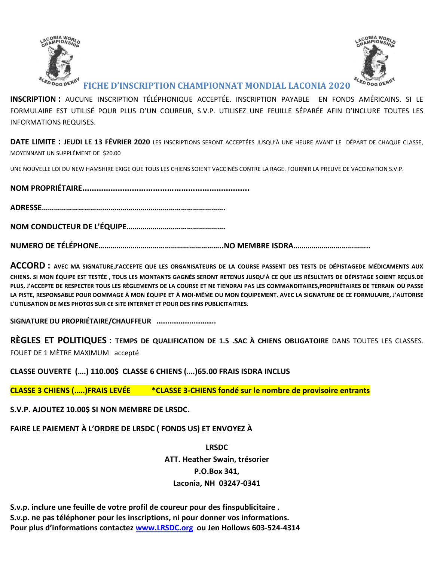



## **FICHE D'INSCRIPTION CHAMPIONNAT MONDIAL LACONIA 2020**

**INSCRIPTION :** AUCUNE INSCRIPTION TÉLÉPHONIQUE ACCEPTÉE. INSCRIPTION PAYABLE EN FONDS AMÉRICAINS. SI LE FORMULAIRE EST UTILISÉ POUR PLUS D'UN COUREUR, S.V.P. UTILISEZ UNE FEUILLE SÉPARÉE AFIN D'INCLURE TOUTES LES INFORMATIONS REQUISES.

**DATE LIMITE : JEUDI LE 13 FÉVRIER 2020** LES INSCRIPTIONS SERONT ACCEPTÉES JUSQU'À UNE HEURE AVANT LE DÉPART DE CHAQUE CLASSE, MOYENNANT UN SUPPLÉMENT DE \$20.00

UNE NOUVELLE LOI DU NEW HAMSHIRE EXIGE QUE TOUS LES CHIENS SOIENT VACCINÉS CONTRE LA RAGE. FOURNIR LA PREUVE DE VACCINATION S.V.P.

**NOM PROPRIÉTAIRE……………………………………………………………..**

**ADRESSE……………………………………………………………………………….**

**NOM CONDUCTEUR DE L'ÉQUIPE………………………………………….**

**NUMERO DE TÉLÉPHONE……………………………………………………..NO MEMBRE ISDRA………………………………..**

**ACCORD : AVEC MA SIGNATURE,J'ACCEPTE QUE LES ORGANISATEURS DE LA COURSE PASSENT DES TESTS DE DÉPISTAGEDE MÉDICAMENTS AUX CHIENS. SI MON ÉQUIPE EST TESTÉE , TOUS LES MONTANTS GAGNÉS SERONT RETENUS JUSQU'À CE QUE LES RÉSULTATS DE DÉPISTAGE SOIENT REÇUS.DE PLUS, J'ACCEPTE DE RESPECTER TOUS LES RÈGLEMENTS DE LA COURSE ET NE TIENDRAI PAS LES COMMANDITAIRES,PROPRIÉTAIRES DE TERRAIN OÙ PASSE LA PISTE, RESPONSABLE POUR DOMMAGE À MON ÉQUIPE ET À MOI-MÊME OU MON ÉQUIPEMENT. AVEC LA SIGNATURE DE CE FORMULAIRE, J'AUTORISE L'UTILISATION DE MES PHOTOS SUR CE SITE INTERNET ET POUR DES FINS PUBLICITAITRES.**

**SIGNATURE DU PROPRIÉTAIRE/CHAUFFEUR …………………………..**

**RÈGLES ET POLITIQUES** : **TEMPS DE QUALIFICATION DE 1.5 .SAC À CHIENS OBLIGATOIRE** DANS TOUTES LES CLASSES. FOUET DE 1 MÈTRE MAXIMUM accepté

**CLASSE OUVERTE (….) 110.00\$ CLASSE 6 CHIENS (….)65.00 FRAIS ISDRA INCLUS** 

**CLASSE 3 CHIENS (…..)FRAIS LEVÉE \*CLASSE 3-CHIENS fondé sur le nombre de provisoire entrants**

**S.V.P. AJOUTEZ 10.00\$ SI NON MEMBRE DE LRSDC.**

**FAIRE LE PAIEMENT À L'ORDRE DE LRSDC ( FONDS US) ET ENVOYEZ À**

**LRSDC ATT. Heather Swain, trésorier P.O.Box 341, Laconia, NH 03247-0341**

**S.v.p. inclure une feuille de votre profil de coureur pour des finspublicitaire . S.v.p. ne pas téléphoner pour les inscriptions, ni pour donner vos informations. Pour plus d'informations contactez [www.LRSDC.org](http://www.lrsd.org/) ou Jen Hollows 603-524-4314**